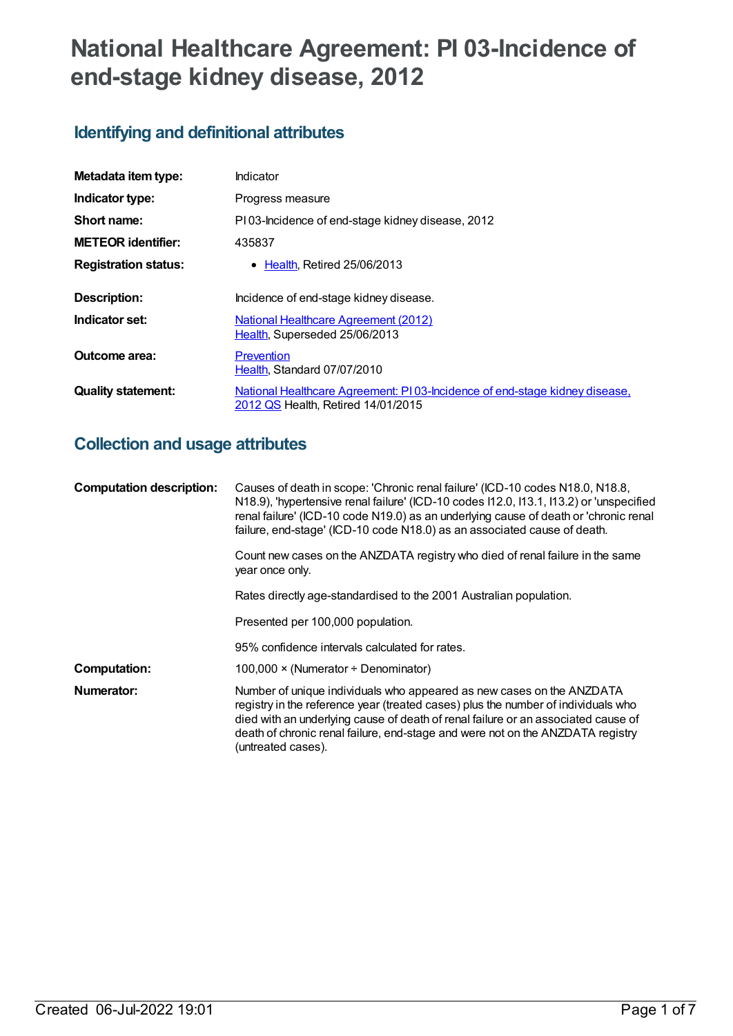# **National Healthcare Agreement: PI 03-Incidence of end-stage kidney disease, 2012**

## **Identifying and definitional attributes**

| Metadata item type:         | Indicator                                                                                                        |  |
|-----------------------------|------------------------------------------------------------------------------------------------------------------|--|
| Indicator type:             | Progress measure                                                                                                 |  |
| Short name:                 | PI03-Incidence of end-stage kidney disease, 2012                                                                 |  |
| <b>METEOR identifier:</b>   | 435837                                                                                                           |  |
| <b>Registration status:</b> | • Health. Retired 25/06/2013                                                                                     |  |
| Description:                | Incidence of end-stage kidney disease.                                                                           |  |
| Indicator set:              | <b>National Healthcare Agreement (2012)</b><br>Health, Superseded 25/06/2013                                     |  |
| Outcome area:               | Prevention<br>Health, Standard 07/07/2010                                                                        |  |
| <b>Quality statement:</b>   | National Healthcare Agreement: PI03-Incidence of end-stage kidney disease,<br>2012 QS Health, Retired 14/01/2015 |  |

## **Collection and usage attributes**

| <b>Computation description:</b> | Causes of death in scope: 'Chronic renal failure' (ICD-10 codes N18.0, N18.8,<br>N18.9), 'hypertensive renal failure' (ICD-10 codes I12.0, I13.1, I13.2) or 'unspecified<br>renal failure' (ICD-10 code N19.0) as an underlying cause of death or 'chronic renal<br>failure, end-stage' (ICD-10 code N18.0) as an associated cause of death.            |
|---------------------------------|---------------------------------------------------------------------------------------------------------------------------------------------------------------------------------------------------------------------------------------------------------------------------------------------------------------------------------------------------------|
|                                 | Count new cases on the ANZDATA registry who died of renal failure in the same<br>year once only.                                                                                                                                                                                                                                                        |
|                                 | Rates directly age-standardised to the 2001 Australian population.                                                                                                                                                                                                                                                                                      |
|                                 | Presented per 100,000 population.                                                                                                                                                                                                                                                                                                                       |
|                                 | 95% confidence intervals calculated for rates.                                                                                                                                                                                                                                                                                                          |
| <b>Computation:</b>             | 100,000 × (Numerator ÷ Denominator)                                                                                                                                                                                                                                                                                                                     |
| Numerator:                      | Number of unique individuals who appeared as new cases on the ANZDATA<br>registry in the reference year (treated cases) plus the number of individuals who<br>died with an underlying cause of death of renal failure or an associated cause of<br>death of chronic renal failure, end-stage and were not on the ANZDATA registry<br>(untreated cases). |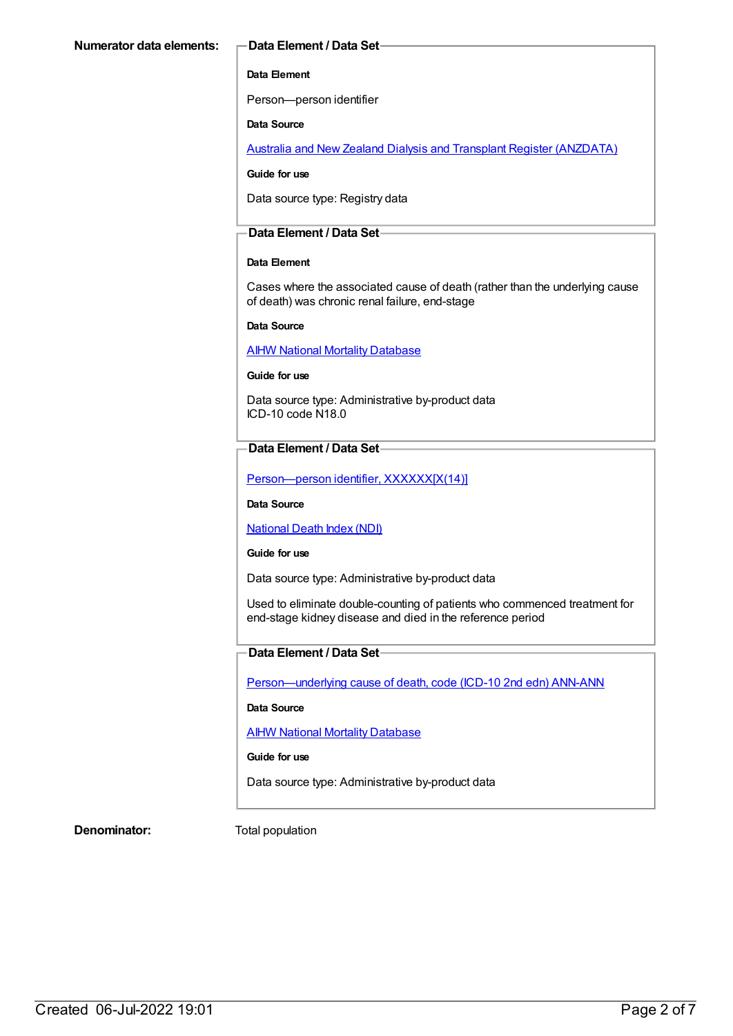#### **Data Element**

Person—person identifier

#### **Data Source**

Australia and New Zealand Dialysis and Transplant Register [\(ANZDATA\)](https://meteor.aihw.gov.au/content/393142)

#### **Guide for use**

Data source type: Registry data

#### **Data Element / Data Set**

#### **Data Element**

Cases where the associated cause of death (rather than the underlying cause of death) was chronic renal failure, end-stage

#### **Data Source**

**AIHW National Mortality [Database](https://meteor.aihw.gov.au/content/395084)** 

#### **Guide for use**

Data source type: Administrative by-product data ICD-10 code N18.0

#### **Data Element / Data Set**

Person-person identifier, XXXXXX[X(14)]

**Data Source**

[National](https://meteor.aihw.gov.au/content/395083) Death Index (NDI)

#### **Guide for use**

Data source type: Administrative by-product data

Used to eliminate double-counting of patients who commenced treatment for end-stage kidney disease and died in the reference period

### **Data Element / Data Set**

[Person—underlying](https://meteor.aihw.gov.au/content/307931) cause of death, code (ICD-10 2nd edn) ANN-ANN

#### **Data Source**

AIHW National Mortality [Database](https://meteor.aihw.gov.au/content/395084)

#### **Guide for use**

Data source type: Administrative by-product data

**Denominator:** Total population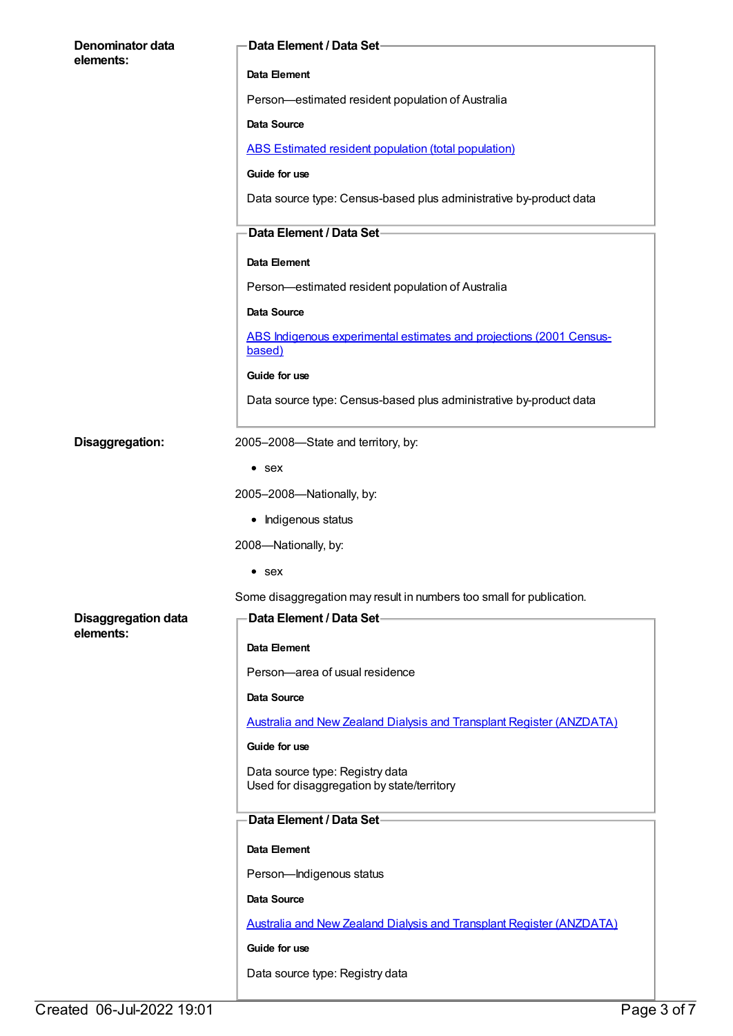| Denominator data<br>elements:                         | Data Element / Data Set-                                                      |
|-------------------------------------------------------|-------------------------------------------------------------------------------|
|                                                       | Data Element                                                                  |
|                                                       | Person-estimated resident population of Australia                             |
|                                                       | Data Source                                                                   |
|                                                       | ABS Estimated resident population (total population)                          |
|                                                       | Guide for use                                                                 |
|                                                       | Data source type: Census-based plus administrative by-product data            |
|                                                       | Data Element / Data Set-                                                      |
|                                                       | Data Element                                                                  |
|                                                       | Person-estimated resident population of Australia                             |
|                                                       | Data Source                                                                   |
|                                                       | ABS Indigenous experimental estimates and projections (2001 Census-<br>based) |
|                                                       | Guide for use                                                                 |
|                                                       | Data source type: Census-based plus administrative by-product data            |
| Disaggregation:<br>2005-2008-State and territory, by: |                                                                               |
|                                                       | $•$ sex                                                                       |
|                                                       | 2005-2008-Nationally, by:                                                     |
|                                                       | • Indigenous status                                                           |
|                                                       | 2008-Nationally, by:                                                          |
|                                                       | $\bullet\,$ sex                                                               |
|                                                       | Some disaggregation may result in numbers too small for publication.          |
| <b>Disaggregation data</b>                            | Data Element / Data Set-                                                      |
| elements:                                             | Data Element                                                                  |
|                                                       | Person-area of usual residence                                                |
|                                                       | Data Source                                                                   |
|                                                       | <b>Australia and New Zealand Dialysis and Transplant Register (ANZDATA)</b>   |
|                                                       | Guide for use                                                                 |
|                                                       | Data source type: Registry data<br>Used for disaggregation by state/territory |
|                                                       | Data Element / Data Set-                                                      |
|                                                       | Data Element                                                                  |
|                                                       | Person-Indigenous status                                                      |
|                                                       | Data Source                                                                   |
|                                                       | <b>Australia and New Zealand Dialysis and Transplant Register (ANZDATA)</b>   |
|                                                       | Guide for use                                                                 |
|                                                       | Data source type: Registry data                                               |
|                                                       |                                                                               |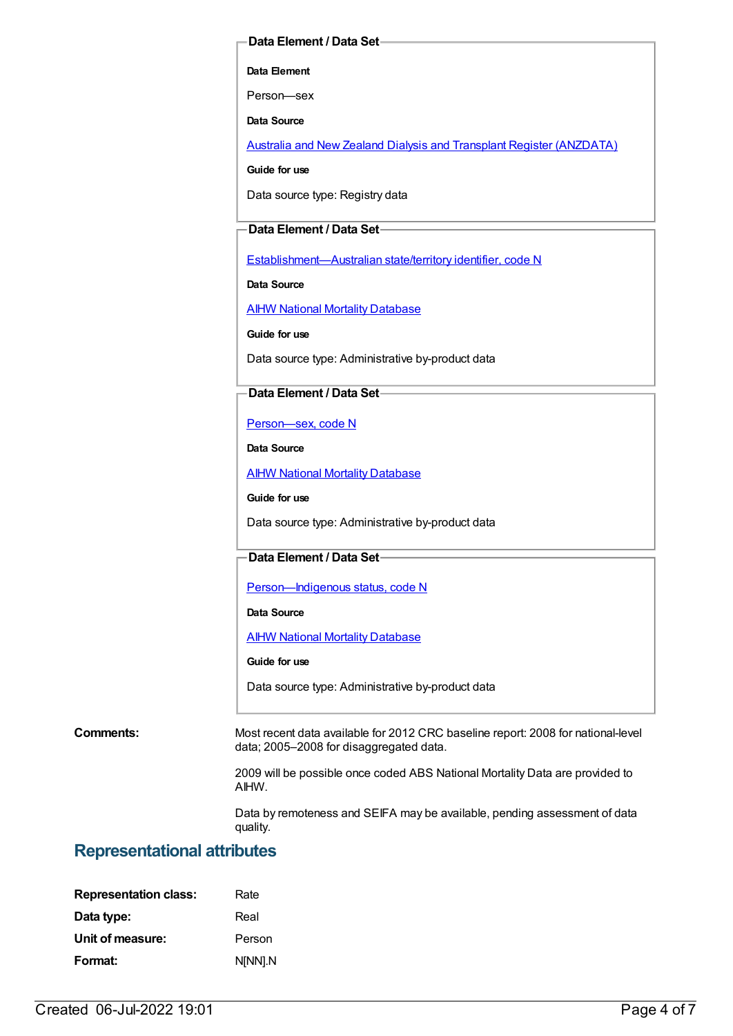#### **Data Element / Data Set**

**Data Element**

Person—sex

**Data Source**

Australia and New Zealand Dialysis and Transplant Register [\(ANZDATA\)](https://meteor.aihw.gov.au/content/393142)

**Guide for use**

Data source type: Registry data

#### **Data Element / Data Set**

[Establishment—Australian](https://meteor.aihw.gov.au/content/269941) state/territory identifier, code N

**Data Source**

**AIHW National Mortality [Database](https://meteor.aihw.gov.au/content/395084)** 

**Guide for use**

Data source type: Administrative by-product data

#### **Data Element / Data Set**

[Person—sex,](https://meteor.aihw.gov.au/content/287316) code N

**Data Source**

AIHW National Mortality [Database](https://meteor.aihw.gov.au/content/395084)

**Guide for use**

Data source type: Administrative by-product data

#### **Data Element / Data Set**

Person-Indigenous status, code N

**Data Source**

**AIHW National Mortality [Database](https://meteor.aihw.gov.au/content/395084)** 

**Guide for use**

Data source type: Administrative by-product data

**Comments:** Most recent data available for 2012 CRC baseline report: 2008 for national-level data; 2005–2008 for disaggregated data.

> 2009 will be possible once coded ABS National Mortality Data are provided to AIHW.

> Data by remoteness and SEIFA may be available, pending assessment of data quality.

### **Representational attributes**

| <b>Representation class:</b> | Rate    |
|------------------------------|---------|
| Data type:                   | Real    |
| Unit of measure:             | Person  |
| Format:                      | N[NN].N |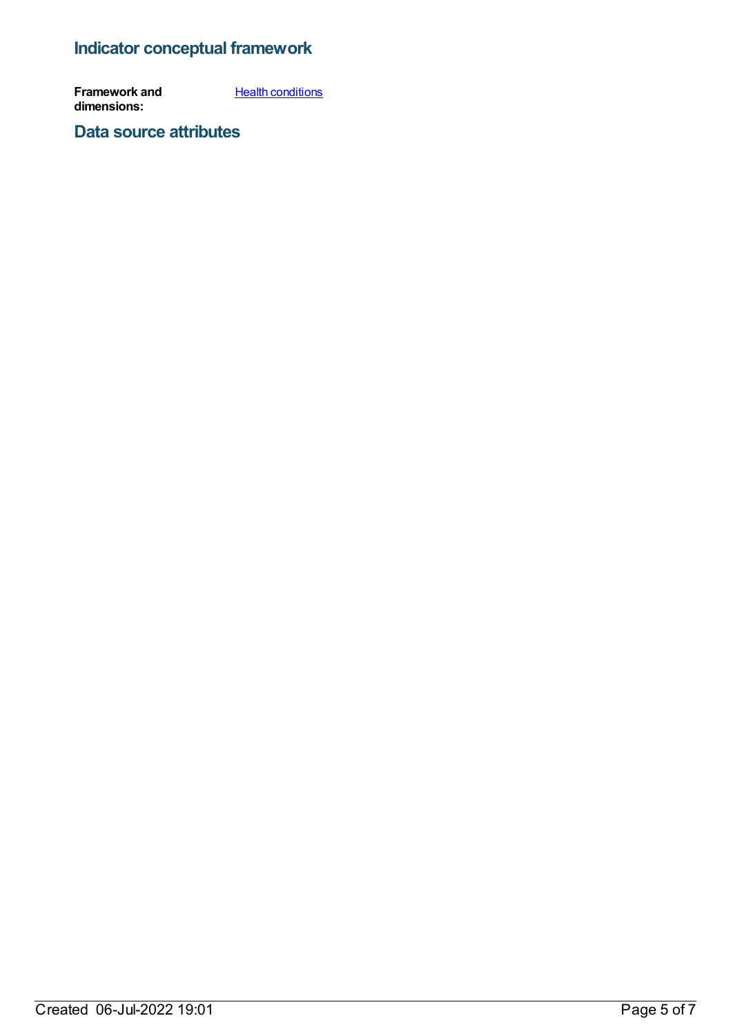## **Indicator conceptual framework**

**Framework and dimensions: Health [conditions](https://meteor.aihw.gov.au/content/392574)** 

**Data source attributes**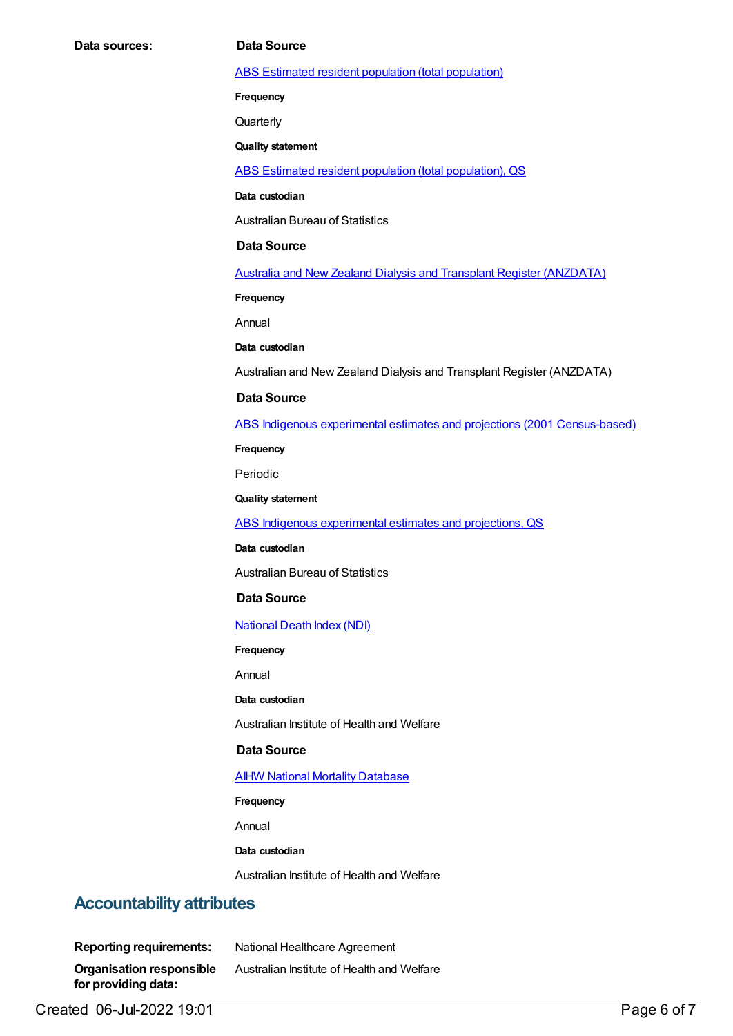ABS Estimated resident population (total [population\)](https://meteor.aihw.gov.au/content/393625)

**Frequency**

**Quarterly** 

**Quality statement**

ABS Estimated resident population (total [population\),](https://meteor.aihw.gov.au/content/449216) QS

**Data custodian**

Australian Bureau of Statistics

#### **Data Source**

Australia and New Zealand Dialysis and Transplant Register [\(ANZDATA\)](https://meteor.aihw.gov.au/content/393142)

**Frequency**

Annual

**Data custodian**

Australian and New Zealand Dialysis and Transplant Register (ANZDATA)

#### **Data Source**

ABS Indigenous experimental estimates and projections (2001 [Census-based\)](https://meteor.aihw.gov.au/content/394092)

**Frequency**

Periodic

**Quality statement**

ABS Indigenous [experimental](https://meteor.aihw.gov.au/content/449223) estimates and projections, QS

**Data custodian**

Australian Bureau of Statistics

#### **Data Source**

[National](https://meteor.aihw.gov.au/content/395083) Death Index (NDI)

**Frequency**

Annual

**Data custodian**

Australian Institute of Health and Welfare

#### **Data Source**

#### AIHW National Mortality [Database](https://meteor.aihw.gov.au/content/395084)

**Frequency**

Annual

#### **Data custodian**

Australian Institute of Health and Welfare

### **Accountability attributes**

| <b>Reporting requirements:</b>                         | National Healthcare Agreement              |
|--------------------------------------------------------|--------------------------------------------|
| <b>Organisation responsible</b><br>for providing data: | Australian Institute of Health and Welfare |